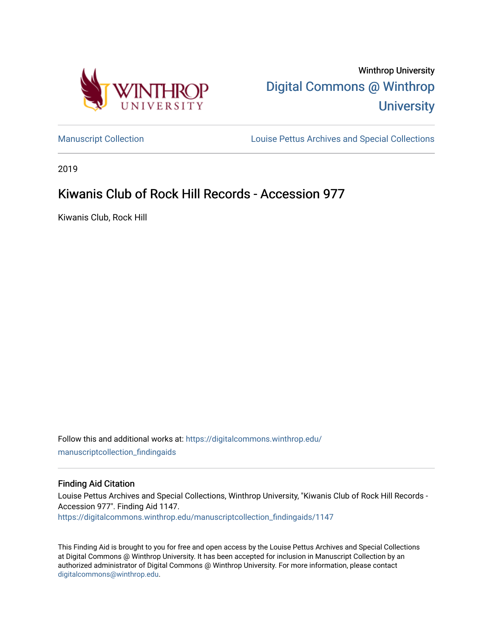



[Manuscript Collection](https://digitalcommons.winthrop.edu/manuscriptcollection_findingaids) **Louise Pettus Archives and Special Collections** 

2019

# Kiwanis Club of Rock Hill Records - Accession 977

Kiwanis Club, Rock Hill

Follow this and additional works at: [https://digitalcommons.winthrop.edu/](https://digitalcommons.winthrop.edu/manuscriptcollection_findingaids?utm_source=digitalcommons.winthrop.edu%2Fmanuscriptcollection_findingaids%2F1147&utm_medium=PDF&utm_campaign=PDFCoverPages) [manuscriptcollection\\_findingaids](https://digitalcommons.winthrop.edu/manuscriptcollection_findingaids?utm_source=digitalcommons.winthrop.edu%2Fmanuscriptcollection_findingaids%2F1147&utm_medium=PDF&utm_campaign=PDFCoverPages) 

#### Finding Aid Citation

Louise Pettus Archives and Special Collections, Winthrop University, "Kiwanis Club of Rock Hill Records - Accession 977". Finding Aid 1147. [https://digitalcommons.winthrop.edu/manuscriptcollection\\_findingaids/1147](https://digitalcommons.winthrop.edu/manuscriptcollection_findingaids/1147?utm_source=digitalcommons.winthrop.edu%2Fmanuscriptcollection_findingaids%2F1147&utm_medium=PDF&utm_campaign=PDFCoverPages) 

This Finding Aid is brought to you for free and open access by the Louise Pettus Archives and Special Collections at Digital Commons @ Winthrop University. It has been accepted for inclusion in Manuscript Collection by an authorized administrator of Digital Commons @ Winthrop University. For more information, please contact [digitalcommons@winthrop.edu](mailto:digitalcommons@winthrop.edu).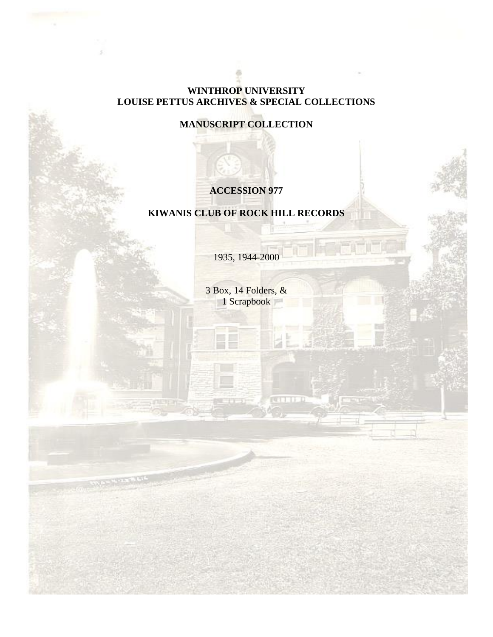### **WINTHROP UNIVERSITY LOUISE PETTUS ARCHIVES & SPECIAL COLLECTIONS**

**MANUSCRIPT COLLECTION**

## **ACCESSION 977**

## **KIWANIS CLUB OF ROCK HILL RECORDS**

1935, 1944-2000

3 Box, 14 Folders, & 1 Scrapbook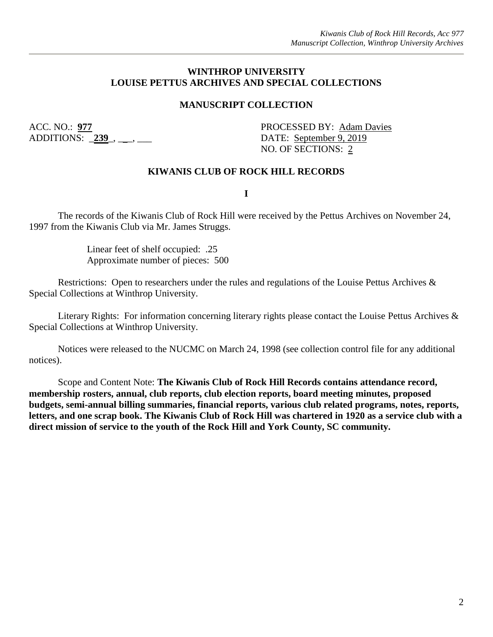#### **WINTHROP UNIVERSITY LOUISE PETTUS ARCHIVES AND SPECIAL COLLECTIONS**

### **MANUSCRIPT COLLECTION**

ADDITIONS: 239, \_\_, \_\_\_

ACC. NO.: **977** PROCESSED BY: Adam Davies NO. OF SECTIONS: 2

#### **KIWANIS CLUB OF ROCK HILL RECORDS**

**I**

The records of the Kiwanis Club of Rock Hill were received by the Pettus Archives on November 24, 1997 from the Kiwanis Club via Mr. James Struggs.

> Linear feet of shelf occupied: .25 Approximate number of pieces: 500

Restrictions: Open to researchers under the rules and regulations of the Louise Pettus Archives & Special Collections at Winthrop University.

Literary Rights: For information concerning literary rights please contact the Louise Pettus Archives & Special Collections at Winthrop University.

Notices were released to the NUCMC on March 24, 1998 (see collection control file for any additional notices).

Scope and Content Note: **The Kiwanis Club of Rock Hill Records contains attendance record, membership rosters, annual, club reports, club election reports, board meeting minutes, proposed budgets, semi-annual billing summaries, financial reports, various club related programs, notes, reports, letters, and one scrap book. The Kiwanis Club of Rock Hill was chartered in 1920 as a service club with a direct mission of service to the youth of the Rock Hill and York County, SC community.**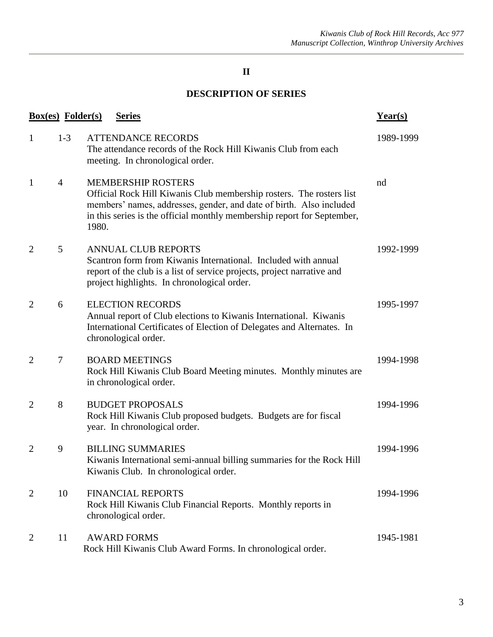## **II**

## **DESCRIPTION OF SERIES**

|                | <b>Box(es)</b> Folder(s) | <b>Series</b>                                                                                                                                                                                                                                                | $Year(s)$ |
|----------------|--------------------------|--------------------------------------------------------------------------------------------------------------------------------------------------------------------------------------------------------------------------------------------------------------|-----------|
| 1              | $1-3$                    | <b>ATTENDANCE RECORDS</b><br>The attendance records of the Rock Hill Kiwanis Club from each<br>meeting. In chronological order.                                                                                                                              | 1989-1999 |
| $\mathbf{1}$   | $\overline{4}$           | <b>MEMBERSHIP ROSTERS</b><br>Official Rock Hill Kiwanis Club membership rosters. The rosters list<br>members' names, addresses, gender, and date of birth. Also included<br>in this series is the official monthly membership report for September,<br>1980. | nd        |
| $\overline{2}$ | 5                        | <b>ANNUAL CLUB REPORTS</b><br>Scantron form from Kiwanis International. Included with annual<br>report of the club is a list of service projects, project narrative and<br>project highlights. In chronological order.                                       | 1992-1999 |
| $\overline{2}$ | 6                        | <b>ELECTION RECORDS</b><br>Annual report of Club elections to Kiwanis International. Kiwanis<br>International Certificates of Election of Delegates and Alternates. In<br>chronological order.                                                               | 1995-1997 |
| $\overline{2}$ | $\tau$                   | <b>BOARD MEETINGS</b><br>Rock Hill Kiwanis Club Board Meeting minutes. Monthly minutes are<br>in chronological order.                                                                                                                                        | 1994-1998 |
| 2              | 8                        | <b>BUDGET PROPOSALS</b><br>Rock Hill Kiwanis Club proposed budgets. Budgets are for fiscal<br>year. In chronological order.                                                                                                                                  | 1994-1996 |
| $\overline{2}$ | 9                        | <b>BILLING SUMMARIES</b><br>Kiwanis International semi-annual billing summaries for the Rock Hill<br>Kiwanis Club. In chronological order.                                                                                                                   | 1994-1996 |
| $\overline{2}$ | 10                       | <b>FINANCIAL REPORTS</b><br>Rock Hill Kiwanis Club Financial Reports. Monthly reports in<br>chronological order.                                                                                                                                             | 1994-1996 |
| 2              | 11                       | <b>AWARD FORMS</b><br>Rock Hill Kiwanis Club Award Forms. In chronological order.                                                                                                                                                                            | 1945-1981 |